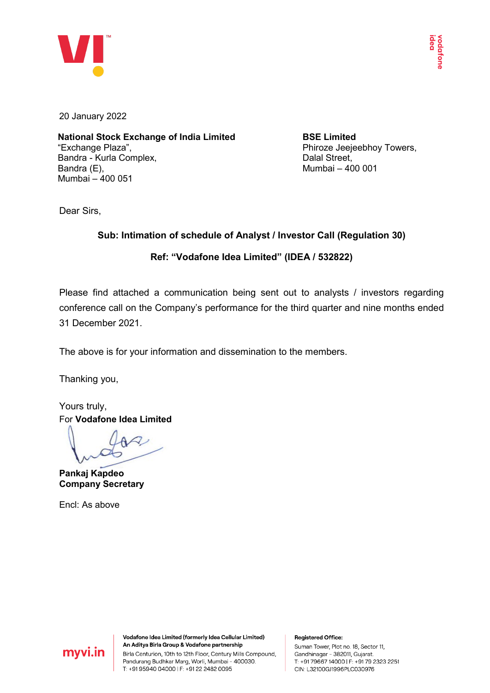

20 January 2022

**National Stock Exchange of India Limited** "Exchange Plaza", Bandra - Kurla Complex, Bandra (E), Mumbai – 400 051

**BSE Limited** Phiroze Jeejeebhoy Towers, Dalal Street, Mumbai – 400 001

Dear Sirs,

# **Sub: Intimation of schedule of Analyst / Investor Call (Regulation 30)**

# **Ref: "Vodafone Idea Limited" (IDEA / 532822)**

Please find attached a communication being sent out to analysts / investors regarding conference call on the Company's performance for the third quarter and nine months ended 31 December 2021.

The above is for your information and dissemination to the members.

Thanking you,

Yours truly, For **Vodafone Idea Limited**

**Pankaj Kapdeo Company Secretary**

Encl: As above



Vodafone Idea Limited (formerly Idea Cellular Limited) An Aditya Birla Group & Vodafone partnership Birla Centurion, 10th to 12th Floor, Century Mills Compound, Pandurang Budhkar Marg, Worli, Mumbai - 400030. T: +91 95940 04000 | F: +91 22 2482 0095

#### **Registered Office:**

Suman Tower, Plot no. 18, Sector 11, Gandhinagar - 382011, Gujarat. T: +91 79667 14000 | F: +91 79 2323 2251 CIN: L32100GJ1996PLC030976